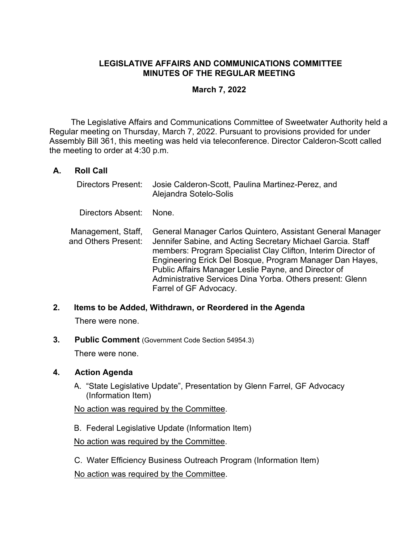## **LEGISLATIVE AFFAIRS AND COMMUNICATIONS COMMITTEE MINUTES OF THE REGULAR MEETING**

## **March 7, 2022**

 The Legislative Affairs and Communications Committee of Sweetwater Authority held a Regular meeting on Thursday, March 7, 2022. Pursuant to provisions provided for under Assembly Bill 361, this meeting was held via teleconference. Director Calderon-Scott called the meeting to order at 4:30 p.m.

## **A. Roll Call**

| <b>Directors Present:</b>                 | Josie Calderon-Scott, Paulina Martinez-Perez, and<br>Alejandra Sotelo-Solis                                                                                                                                                                                                                                                                                                                           |
|-------------------------------------------|-------------------------------------------------------------------------------------------------------------------------------------------------------------------------------------------------------------------------------------------------------------------------------------------------------------------------------------------------------------------------------------------------------|
| Directors Absent:                         | None :                                                                                                                                                                                                                                                                                                                                                                                                |
| Management, Staff,<br>and Others Present: | General Manager Carlos Quintero, Assistant General Manager<br>Jennifer Sabine, and Acting Secretary Michael Garcia. Staff<br>members: Program Specialist Clay Clifton, Interim Director of<br>Engineering Erick Del Bosque, Program Manager Dan Hayes,<br>Public Affairs Manager Leslie Payne, and Director of<br>Administrative Services Dina Yorba. Others present: Glenn<br>Farrel of GF Advocacy. |

### **2. Items to be Added, Withdrawn, or Reordered in the Agenda**

There were none.

**3. Public Comment** (Government Code Section 54954.3)

There were none.

### **4. Action Agenda**

A. "State Legislative Update", Presentation by Glenn Farrel, GF Advocacy (Information Item)

No action was required by the Committee.

B. Federal Legislative Update (Information Item)

No action was required by the Committee.

C. Water Efficiency Business Outreach Program (Information Item) No action was required by the Committee.